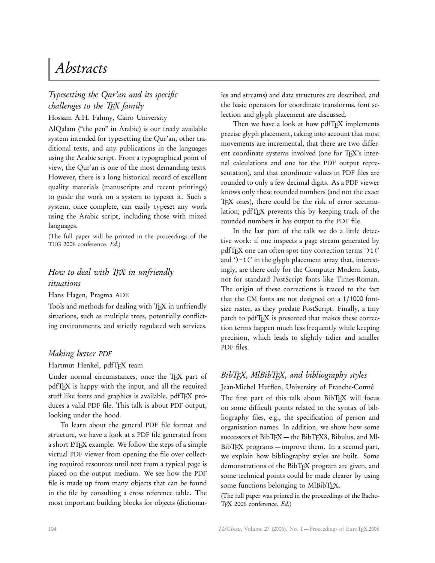# Abstracts

## Typesetting the Qur'an and its specific challenges to the TFX family Hossam A.H. Fahmy, Cairo University

AlQalam ("the pen" in Arabic) is our freely available system intended for typesetting the Qur'an, other traditional texts, and any publications in the languages using the Arabic script. From a typographical point of view, the Qur'an is one of the most demanding texts. However, there is a long historical record of excellent quality materials (manuscripts and recent printings) to guide the work on a system to typeset it. Such a system, once complete, can easily typeset any work using the Arabic script, including those with mixed languages.

(The full paper will be printed in the proceedings of the TUG 2006 conference. Ed.)

## How to deal with TEX in unfriendly situations

Hans Hagen, Pragma ADE

Tools and methods for dealing with TFX in unfriendly situations, such as multiple trees, potentially conflicting environments, and strictly regulated web services.

#### Making better PDF

Hartmut Henkel, pdfTEX team

Under normal circumstances, once the TFX part of pdfTEX is happy with the input, and all the required stuff like fonts and graphics is available, pdfTFX produces a valid PDF file. This talk is about PDF output, looking under the hood.

To learn about the general PDF file format and structure, we have a look at a PDF file generated from a short LAT<sub>E</sub>X example. We follow the steps of a simple virtual PDF viewer from opening the file over collecting required resources until text from a typical page is placed on the output medium. We see how the PDF file is made up from many objects that can be found in the file by consulting a cross reference table. The most important building blocks for objects (dictionar-

ies and streams) and data structures are described, and the basic operators for coordinate transforms, font selection and glyph placement are discussed.

Then we have a look at how pdfTFX implements precise glyph placement, taking into account that most movements are incremental, that there are two different coordinate systems involved (one for TEX's internal calculations and one for the PDF output representation), and that coordinate values in PDF files are rounded to only a few decimal digits. As a PDF viewer knows only these rounded numbers (and not the exact TFX ones), there could be the risk of error accumulation; pdfTEX prevents this by keeping track of the rounded numbers it has output to the PDF file.

In the last part of the talk we do a little detective work: if one inspects a page stream generated by pdfTEX one can often spot tiny correction terms ')1(' and ')-1(' in the glyph placement array that, interestingly, are there only for the Computer Modern fonts, not for standard PostScript fonts like Times-Roman. The origin of these corrections is traced to the fact that the CM fonts are not designed on a 1*/*1000 fontsize raster, as they predate PostScript. Finally, a tiny patch to pdfTFX is presented that makes these correction terms happen much less frequently while keeping precision, which leads to slightly tidier and smaller PDF files.

## $BibTFX$ , Ml $BibTFX$ , and bibliography styles

Jean-Michel Hufflen, University of Franche-Comté The first part of this talk about BibTFX will focus on some difficult points related to the syntax of bibliography files, e.g., the specification of person and organisation names. In addition, we show how some successors of BibTFX— the BibTFX8, Bibulus, and Ml-BibT<sub>F</sub>X programs—improve them. In a second part, we explain how bibliography styles are built. Some demonstrations of the BibTFX program are given, and some technical points could be made clearer by using some functions belonging to MlBibTFX.

(The full paper was printed in the proceedings of the Bacho-TFX 2006 conference. Ed.)